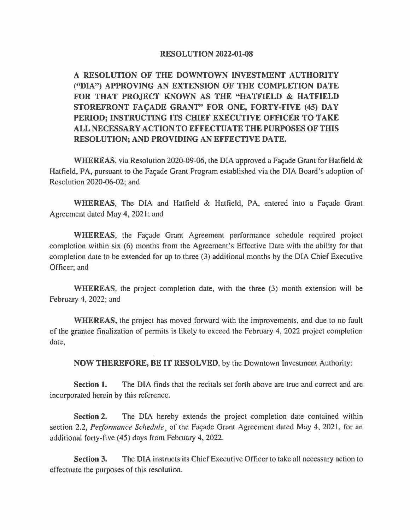## RESOLUTION 2022-01-08

**A RESOLUTION OF THE DOWNTOWN INVESTMENT AUTHORITY ("DIA") APPROVING AN EXTENSION OF THE COMPLETION DATE FOR THAT PROJECT KNOWN AS THE "HATFIELD** & **HATFIELD**  STOREFRONT FACADE GRANT" FOR ONE, FORTY-FIVE (45) DAY **PERIOD; INSTRUCTING ITS CHIEF EXECUTIVE OFFICER TO TAKE ALL NECESSARY ACTION TO EFFECTUATE THE PURPOSES OF THIS RESOLUTION; AND PROVIDING AN EFFECTIVE DATE.** 

**WHEREAS,** via Resolution 2020-09-06, the DIA approved a Facade Grant for Hatfield & Hatfield, PA, pursuant to the Façade Grant Program established via the DIA Board's adoption of Resolution 2020-06-02; and

**WHEREAS, The DIA and Hatfield & Hatfield, PA, entered into a Facade Grant** Agreement dated May 4, 2021; and

**WHEREAS,** the Façade Grant Agreement performance schedule required project completion within six (6) months from the Agreement's Effective Date with the ability for that completion date to be extended for up to three (3) additional months by the DIA Chief Executive Officer; and

**WHEREAS,** the project completion date, with the three (3) month extension will be February 4, 2022; and

**WHEREAS,** the project has moved forward with the improvements, and due to no fault of the grantee finalization of permits is likely to exceed the February 4, 2022 project completion date,

**NOW THEREFORE, BE IT RESOLVED,** by the Downtown Investment Authority:

**Section 1.** The DIA finds that the recitals set forth above are true and correct and are incorporated herein by this reference.

**Section 2.** The DIA hereby extends the project completion date contained within section 2.2, *Performance Schedule*, of the Façade Grant Agreement dated May 4, 2021, for an additional forty-five (45) days from February 4, 2022.

**Section 3.** The DIA instructs its Chief Executive Officer to take all necessary action to effectuate the purposes of this resolution.